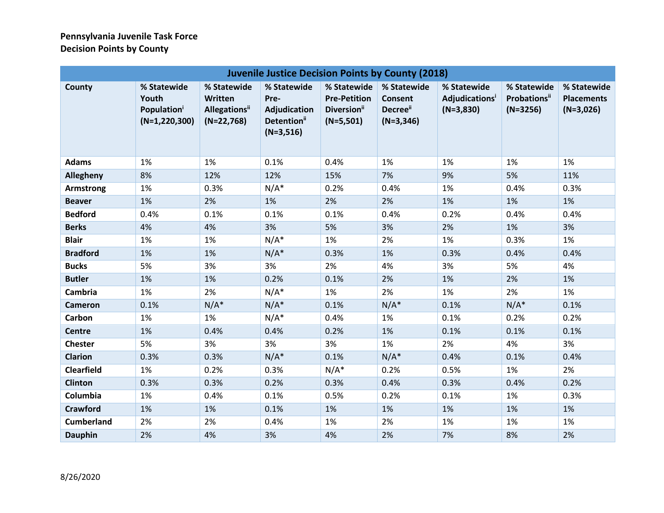## **Pennsylvania Juvenile Task Force Decision Points by County**

| <b>Juvenile Justice Decision Points by County (2018)</b> |                                                                    |                                                                     |                                                                               |                                                                              |                                                         |                                                    |                                                   |                                                 |
|----------------------------------------------------------|--------------------------------------------------------------------|---------------------------------------------------------------------|-------------------------------------------------------------------------------|------------------------------------------------------------------------------|---------------------------------------------------------|----------------------------------------------------|---------------------------------------------------|-------------------------------------------------|
| County                                                   | % Statewide<br>Youth<br>Population <sup>i</sup><br>$(N=1,220,300)$ | % Statewide<br>Written<br>Allegations <sup>ii</sup><br>$(N=22,768)$ | % Statewide<br>Pre-<br>Adjudication<br>Detention <sup>ii</sup><br>$(N=3,516)$ | % Statewide<br><b>Pre-Petition</b><br>Diversion <sup>ii</sup><br>$(N=5,501)$ | % Statewide<br><b>Consent</b><br>Decree"<br>$(N=3,346)$ | % Statewide<br><b>Adjudications</b><br>$(N=3,830)$ | % Statewide<br><b>Probations</b> ii<br>$(N=3256)$ | % Statewide<br><b>Placements</b><br>$(N=3,026)$ |
| <b>Adams</b>                                             | 1%                                                                 | 1%                                                                  | 0.1%                                                                          | 0.4%                                                                         | 1%                                                      | 1%                                                 | 1%                                                | 1%                                              |
| Allegheny                                                | 8%                                                                 | 12%                                                                 | 12%                                                                           | 15%                                                                          | 7%                                                      | 9%                                                 | 5%                                                | 11%                                             |
| Armstrong                                                | 1%                                                                 | 0.3%                                                                | $N/A^*$                                                                       | 0.2%                                                                         | 0.4%                                                    | 1%                                                 | 0.4%                                              | 0.3%                                            |
| <b>Beaver</b>                                            | 1%                                                                 | 2%                                                                  | 1%                                                                            | 2%                                                                           | 2%                                                      | 1%                                                 | 1%                                                | 1%                                              |
| <b>Bedford</b>                                           | 0.4%                                                               | 0.1%                                                                | 0.1%                                                                          | 0.1%                                                                         | 0.4%                                                    | 0.2%                                               | 0.4%                                              | 0.4%                                            |
| <b>Berks</b>                                             | 4%                                                                 | 4%                                                                  | 3%                                                                            | 5%                                                                           | 3%                                                      | 2%                                                 | 1%                                                | 3%                                              |
| <b>Blair</b>                                             | 1%                                                                 | 1%                                                                  | $N/A^*$                                                                       | 1%                                                                           | 2%                                                      | 1%                                                 | 0.3%                                              | 1%                                              |
| <b>Bradford</b>                                          | 1%                                                                 | 1%                                                                  | $N/A^*$                                                                       | 0.3%                                                                         | 1%                                                      | 0.3%                                               | 0.4%                                              | 0.4%                                            |
| <b>Bucks</b>                                             | 5%                                                                 | 3%                                                                  | 3%                                                                            | 2%                                                                           | 4%                                                      | 3%                                                 | 5%                                                | 4%                                              |
| <b>Butler</b>                                            | 1%                                                                 | 1%                                                                  | 0.2%                                                                          | 0.1%                                                                         | 2%                                                      | 1%                                                 | 2%                                                | 1%                                              |
| Cambria                                                  | 1%                                                                 | 2%                                                                  | $N/A^*$                                                                       | 1%                                                                           | 2%                                                      | 1%                                                 | 2%                                                | 1%                                              |
| <b>Cameron</b>                                           | 0.1%                                                               | $N/A^*$                                                             | $N/A^*$                                                                       | 0.1%                                                                         | $N/A^*$                                                 | 0.1%                                               | $N/A^*$                                           | 0.1%                                            |
| Carbon                                                   | 1%                                                                 | 1%                                                                  | $N/A^*$                                                                       | 0.4%                                                                         | 1%                                                      | 0.1%                                               | 0.2%                                              | 0.2%                                            |
| <b>Centre</b>                                            | 1%                                                                 | 0.4%                                                                | 0.4%                                                                          | 0.2%                                                                         | 1%                                                      | 0.1%                                               | 0.1%                                              | 0.1%                                            |
| <b>Chester</b>                                           | 5%                                                                 | 3%                                                                  | 3%                                                                            | 3%                                                                           | 1%                                                      | 2%                                                 | 4%                                                | 3%                                              |
| <b>Clarion</b>                                           | 0.3%                                                               | 0.3%                                                                | $N/A^*$                                                                       | 0.1%                                                                         | $N/A^*$                                                 | 0.4%                                               | 0.1%                                              | 0.4%                                            |
| <b>Clearfield</b>                                        | 1%                                                                 | 0.2%                                                                | 0.3%                                                                          | $N/A^*$                                                                      | 0.2%                                                    | 0.5%                                               | 1%                                                | 2%                                              |
| <b>Clinton</b>                                           | 0.3%                                                               | 0.3%                                                                | 0.2%                                                                          | 0.3%                                                                         | 0.4%                                                    | 0.3%                                               | 0.4%                                              | 0.2%                                            |
| Columbia                                                 | 1%                                                                 | 0.4%                                                                | 0.1%                                                                          | 0.5%                                                                         | 0.2%                                                    | 0.1%                                               | 1%                                                | 0.3%                                            |
| <b>Crawford</b>                                          | 1%                                                                 | 1%                                                                  | 0.1%                                                                          | 1%                                                                           | 1%                                                      | 1%                                                 | 1%                                                | 1%                                              |
| <b>Cumberland</b>                                        | 2%                                                                 | 2%                                                                  | 0.4%                                                                          | 1%                                                                           | 2%                                                      | 1%                                                 | 1%                                                | 1%                                              |
| <b>Dauphin</b>                                           | 2%                                                                 | 4%                                                                  | 3%                                                                            | 4%                                                                           | 2%                                                      | 7%                                                 | 8%                                                | 2%                                              |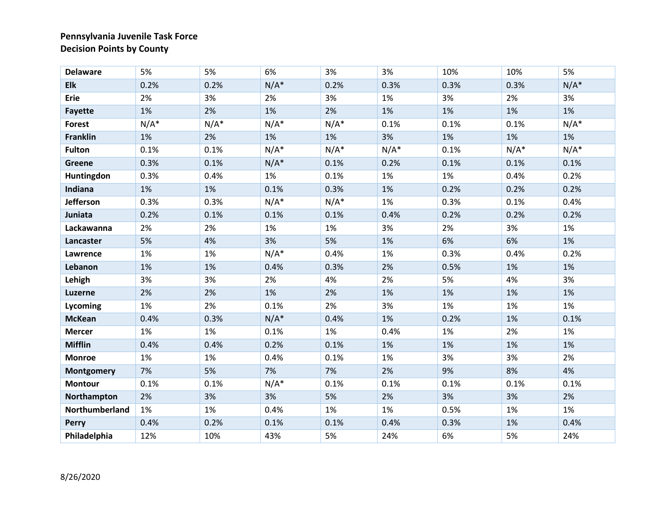## **Pennsylvania Juvenile Task Force Decision Points by County**

| <b>Delaware</b>   | 5%      | 5%      | 6%      | 3%      | 3%      | 10%  | 10%     | 5%      |
|-------------------|---------|---------|---------|---------|---------|------|---------|---------|
| <b>Elk</b>        | 0.2%    | 0.2%    | $N/A^*$ | 0.2%    | 0.3%    | 0.3% | 0.3%    | $N/A^*$ |
| Erie              | 2%      | 3%      | 2%      | 3%      | 1%      | 3%   | 2%      | 3%      |
| <b>Fayette</b>    | 1%      | 2%      | 1%      | 2%      | 1%      | 1%   | 1%      | 1%      |
| <b>Forest</b>     | $N/A^*$ | $N/A^*$ | $N/A^*$ | $N/A^*$ | 0.1%    | 0.1% | 0.1%    | $N/A^*$ |
| <b>Franklin</b>   | 1%      | 2%      | 1%      | 1%      | 3%      | 1%   | 1%      | 1%      |
| <b>Fulton</b>     | 0.1%    | 0.1%    | $N/A^*$ | $N/A^*$ | $N/A^*$ | 0.1% | $N/A^*$ | $N/A^*$ |
| Greene            | 0.3%    | 0.1%    | $N/A^*$ | 0.1%    | 0.2%    | 0.1% | 0.1%    | 0.1%    |
| Huntingdon        | 0.3%    | 0.4%    | 1%      | 0.1%    | 1%      | 1%   | 0.4%    | 0.2%    |
| Indiana           | 1%      | 1%      | 0.1%    | 0.3%    | 1%      | 0.2% | 0.2%    | 0.2%    |
| Jefferson         | 0.3%    | 0.3%    | $N/A^*$ | $N/A^*$ | 1%      | 0.3% | 0.1%    | 0.4%    |
| Juniata           | 0.2%    | 0.1%    | 0.1%    | 0.1%    | 0.4%    | 0.2% | 0.2%    | 0.2%    |
| Lackawanna        | 2%      | 2%      | 1%      | 1%      | 3%      | 2%   | 3%      | 1%      |
| Lancaster         | 5%      | 4%      | 3%      | 5%      | 1%      | 6%   | 6%      | 1%      |
| Lawrence          | 1%      | 1%      | $N/A^*$ | 0.4%    | 1%      | 0.3% | 0.4%    | 0.2%    |
| Lebanon           | 1%      | 1%      | 0.4%    | 0.3%    | 2%      | 0.5% | 1%      | 1%      |
| Lehigh            | 3%      | 3%      | 2%      | 4%      | 2%      | 5%   | 4%      | 3%      |
| <b>Luzerne</b>    | 2%      | 2%      | 1%      | 2%      | 1%      | 1%   | 1%      | 1%      |
| Lycoming          | 1%      | 2%      | 0.1%    | 2%      | 3%      | 1%   | 1%      | 1%      |
| <b>McKean</b>     | 0.4%    | 0.3%    | $N/A^*$ | 0.4%    | 1%      | 0.2% | 1%      | 0.1%    |
| <b>Mercer</b>     | 1%      | 1%      | 0.1%    | 1%      | 0.4%    | 1%   | 2%      | 1%      |
| <b>Mifflin</b>    | 0.4%    | 0.4%    | 0.2%    | 0.1%    | 1%      | 1%   | 1%      | 1%      |
| <b>Monroe</b>     | 1%      | 1%      | 0.4%    | 0.1%    | 1%      | 3%   | 3%      | 2%      |
| <b>Montgomery</b> | 7%      | 5%      | 7%      | 7%      | 2%      | 9%   | 8%      | 4%      |
| <b>Montour</b>    | 0.1%    | 0.1%    | $N/A^*$ | 0.1%    | 0.1%    | 0.1% | 0.1%    | 0.1%    |
| Northampton       | 2%      | 3%      | 3%      | 5%      | 2%      | 3%   | 3%      | 2%      |
| Northumberland    | 1%      | 1%      | 0.4%    | 1%      | 1%      | 0.5% | 1%      | 1%      |
| <b>Perry</b>      | 0.4%    | 0.2%    | 0.1%    | 0.1%    | 0.4%    | 0.3% | 1%      | 0.4%    |
| Philadelphia      | 12%     | 10%     | 43%     | 5%      | 24%     | 6%   | 5%      | 24%     |